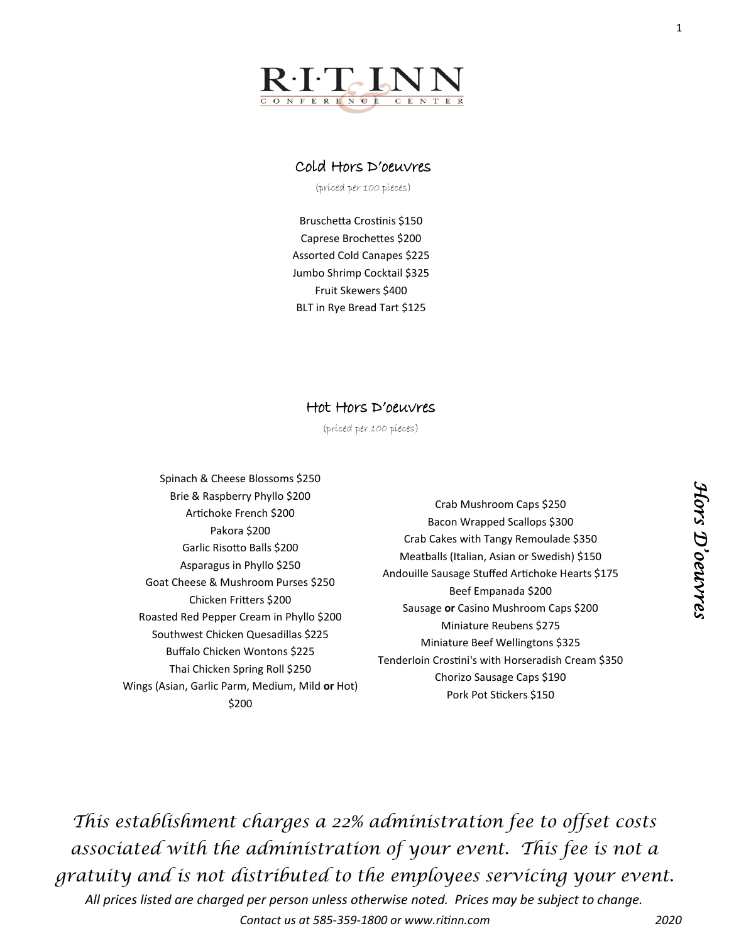

### Cold Hors D'oeuvres

(priced per 100 pieces)

Bruschetta Crostinis \$150 Caprese Brochettes \$200 Assorted Cold Canapes \$225 Jumbo Shrimp Cocktail \$325 Fruit Skewers \$400 BLT in Rye Bread Tart \$125

#### Hot Hors D'oeuvres

(priced per 100 pieces)

- Spinach & Cheese Blossoms \$250 Brie & Raspberry Phyllo \$200 Artichoke French \$200 Pakora \$200 Garlic Risotto Balls \$200 Asparagus in Phyllo \$250 Goat Cheese & Mushroom Purses \$250 Chicken Fritters \$200 Roasted Red Pepper Cream in Phyllo \$200 Southwest Chicken Quesadillas \$225 Buffalo Chicken Wontons \$225 Thai Chicken Spring Roll \$250 Wings (Asian, Garlic Parm, Medium, Mild **or** Hot) \$200
- Crab Mushroom Caps \$250 Bacon Wrapped Scallops \$300 Crab Cakes with Tangy Remoulade \$350 Meatballs (Italian, Asian or Swedish) \$150 Andouille Sausage Stuffed Artichoke Hearts \$175 Beef Empanada \$200 Sausage **or** Casino Mushroom Caps \$200 Miniature Reubens \$275 Miniature Beef Wellingtons \$325 Tenderloin Crostini's with Horseradish Cream \$350 Chorizo Sausage Caps \$190 Pork Pot Stickers \$150

*This establishment charges a 22% administration fee to offset costs associated with the administration of your event. This fee is not a gratuity and is not distributed to the employees servicing your event.* 

*All prices listed are charged per person unless otherwise noted. Prices may be subject to change. Contact us at 585-359-1800 or www.ritinn.com 2020*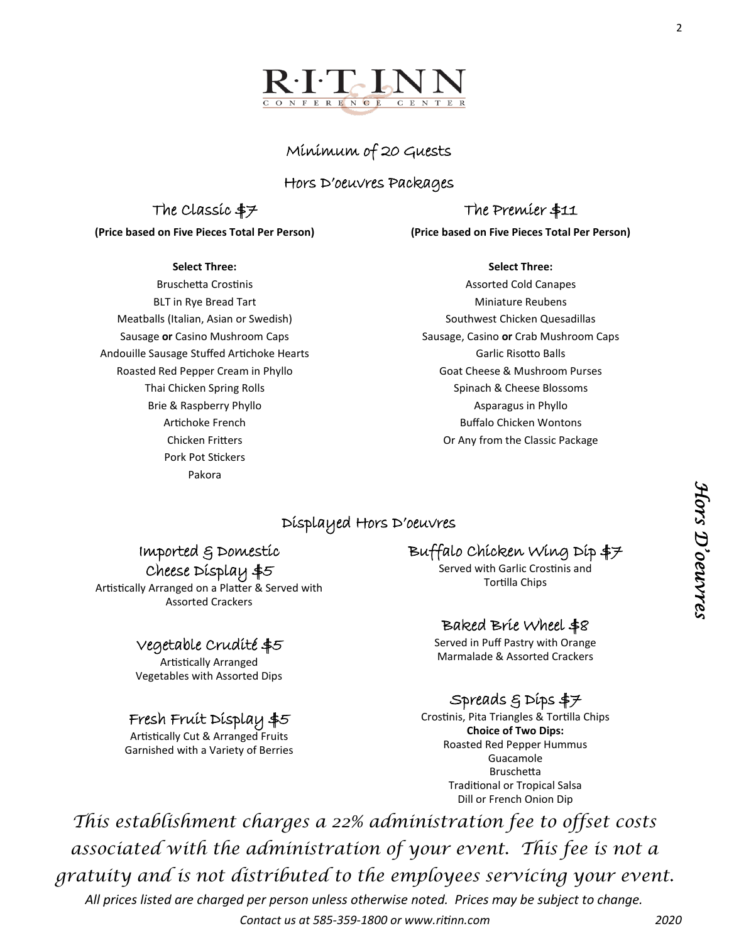

2



### Minimum of 20 Guests

### Hors D'oeuvres Packages

### The Classic \$7

**(Price based on Five Pieces Total Per Person)**

#### **Select Three:**

Bruschetta Crostinis BLT in Rye Bread Tart Meatballs (Italian, Asian or Swedish) Sausage **or** Casino Mushroom Caps Andouille Sausage Stuffed Artichoke Hearts Roasted Red Pepper Cream in Phyllo Thai Chicken Spring Rolls Brie & Raspberry Phyllo Artichoke French Chicken Fritters Pork Pot Stickers Pakora

# The Premier \$11

**(Price based on Five Pieces Total Per Person)**

#### **Select Three:**

Assorted Cold Canapes Miniature Reubens Southwest Chicken Quesadillas Sausage, Casino **or** Crab Mushroom Caps Garlic Risotto Balls Goat Cheese & Mushroom Purses Spinach & Cheese Blossoms Asparagus in Phyllo Buffalo Chicken Wontons Or Any from the Classic Package

### Displayed Hors D'oeuvres

Imported & Domestic Cheese Display \$5

Artistically Arranged on a Platter & Served with Assorted Crackers

### Vegetable Crudité \$5

Artistically Arranged Vegetables with Assorted Dips

# Fresh Fruit Display \$5

Artistically Cut & Arranged Fruits Garnished with a Variety of Berries Buffalo Chicken Wing Dip \$7

Served with Garlic Crostinis and Tortilla Chips

# Baked Brie Wheel \$8

Served in Puff Pastry with Orange Marmalade & Assorted Crackers

# Spreads & Dips \$7

Crostinis, Pita Triangles & Tortilla Chips **Choice of Two Dips:** Roasted Red Pepper Hummus Guacamole Bruschetta Traditional or Tropical Salsa Dill or French Onion Dip

*This establishment charges a 22% administration fee to offset costs associated with the administration of your event. This fee is not a gratuity and is not distributed to the employees servicing your event.* 

*All prices listed are charged per person unless otherwise noted. Prices may be subject to change. Contact us at 585-359-1800 or www.ritinn.com 2020* *Hors D'oeuvres* 

Hors D'oeuvres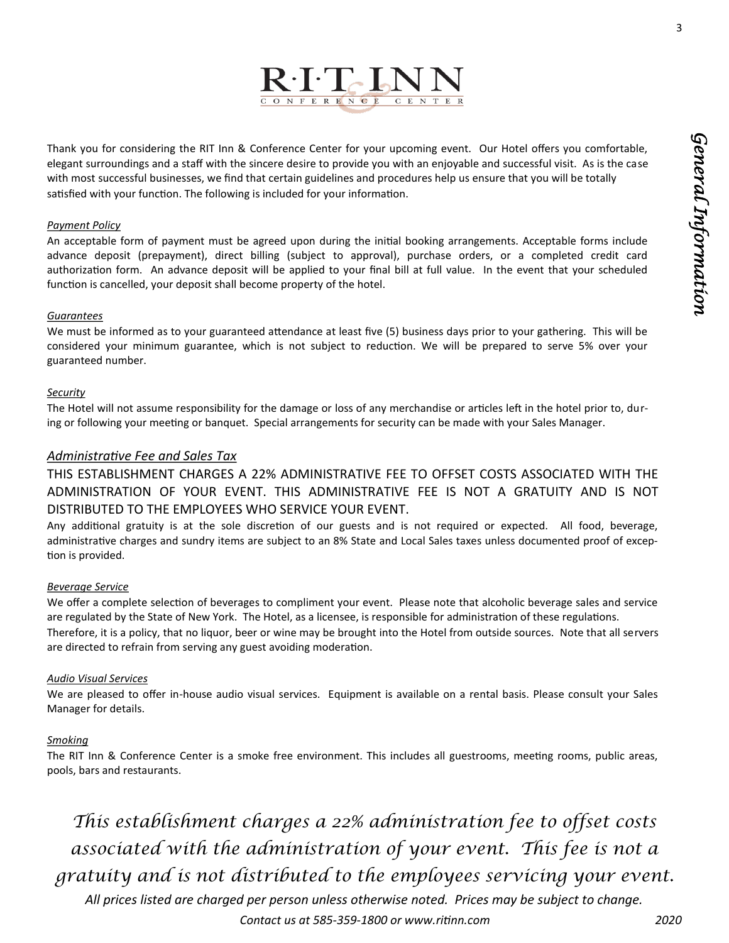3



Thank you for considering the RIT Inn & Conference Center for your upcoming event. Our Hotel offers you comfortable, elegant surroundings and a staff with the sincere desire to provide you with an enjoyable and successful visit. As is the case with most successful businesses, we find that certain guidelines and procedures help us ensure that you will be totally satisfied with your function. The following is included for your information.

#### *Payment Policy*

An acceptable form of payment must be agreed upon during the initial booking arrangements. Acceptable forms include advance deposit (prepayment), direct billing (subject to approval), purchase orders, or a completed credit card authorization form. An advance deposit will be applied to your final bill at full value. In the event that your scheduled function is cancelled, your deposit shall become property of the hotel.

#### *Guarantees*

We must be informed as to your guaranteed attendance at least five (5) business days prior to your gathering. This will be considered your minimum guarantee, which is not subject to reduction. We will be prepared to serve 5% over your guaranteed number.

#### *Security*

The Hotel will not assume responsibility for the damage or loss of any merchandise or articles left in the hotel prior to, during or following your meeting or banquet. Special arrangements for security can be made with your Sales Manager.

#### *Administrative Fee and Sales Tax*

THIS ESTABLISHMENT CHARGES A 22% ADMINISTRATIVE FEE TO OFFSET COSTS ASSOCIATED WITH THE ADMINISTRATION OF YOUR EVENT. THIS ADMINISTRATIVE FEE IS NOT A GRATUITY AND IS NOT DISTRIBUTED TO THE EMPLOYEES WHO SERVICE YOUR EVENT.

Any additional gratuity is at the sole discretion of our guests and is not required or expected. All food, beverage, administrative charges and sundry items are subject to an 8% State and Local Sales taxes unless documented proof of exception is provided.

#### *Beverage Service*

We offer a complete selection of beverages to compliment your event. Please note that alcoholic beverage sales and service are regulated by the State of New York. The Hotel, as a licensee, is responsible for administration of these regulations. Therefore, it is a policy, that no liquor, beer or wine may be brought into the Hotel from outside sources. Note that all servers are directed to refrain from serving any guest avoiding moderation.

#### *Audio Visual Services*

We are pleased to offer in-house audio visual services. Equipment is available on a rental basis. Please consult your Sales Manager for details.

#### *Smoking*

The RIT Inn & Conference Center is a smoke free environment. This includes all guestrooms, meeting rooms, public areas, pools, bars and restaurants.

*This establishment charges a 22% administration fee to offset costs associated with the administration of your event. This fee is not a gratuity and is not distributed to the employees servicing your event.* 

*All prices listed are charged per person unless otherwise noted. Prices may be subject to change. Contact us at 585-359-1800 or www.ritinn.com 2020*